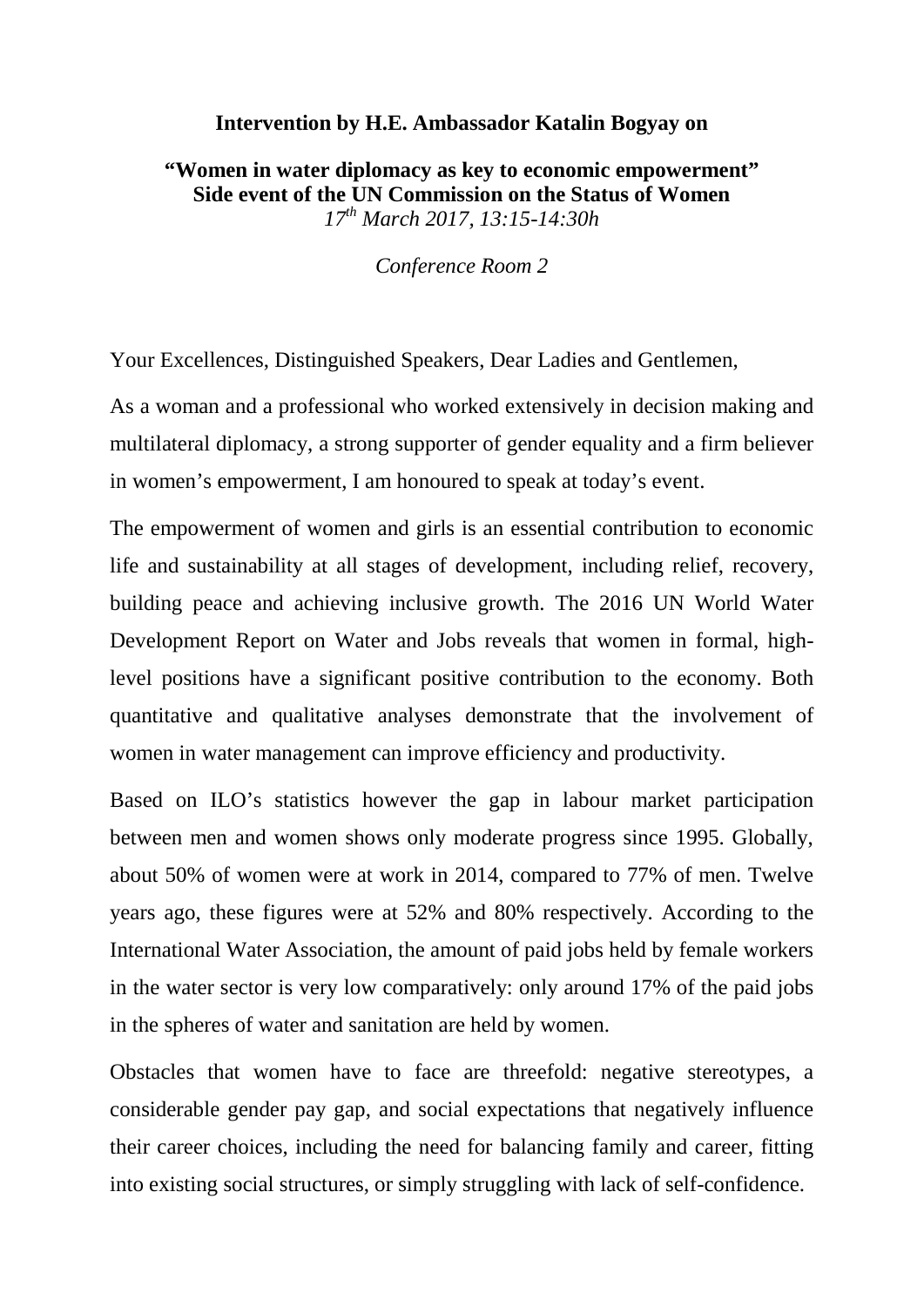## **Intervention by H.E. Ambassador Katalin Bogyay on**

## **"Women in water diplomacy as key to economic empowerment" Side event of the UN Commission on the Status of Women**  *17th March 2017, 13:15-14:30h*

*Conference Room 2*

Your Excellences, Distinguished Speakers, Dear Ladies and Gentlemen,

As a woman and a professional who worked extensively in decision making and multilateral diplomacy, a strong supporter of gender equality and a firm believer in women's empowerment, I am honoured to speak at today's event.

The empowerment of women and girls is an essential contribution to economic life and sustainability at all stages of development, including relief, recovery, building peace and achieving inclusive growth. The 2016 UN World Water Development Report on Water and Jobs reveals that women in formal, highlevel positions have a significant positive contribution to the economy. Both quantitative and qualitative analyses demonstrate that the involvement of women in water management can improve efficiency and productivity.

Based on ILO's statistics however the gap in labour market participation between men and women shows only moderate progress since 1995. Globally, about 50% of women were at work in 2014, compared to 77% of men. Twelve years ago, these figures were at 52% and 80% respectively. According to the International Water Association, the amount of paid jobs held by female workers in the water sector is very low comparatively: only around 17% of the paid jobs in the spheres of water and sanitation are held by women.

Obstacles that women have to face are threefold: negative stereotypes, a considerable gender pay gap, and social expectations that negatively influence their career choices, including the need for balancing family and career, fitting into existing social structures, or simply struggling with lack of self-confidence.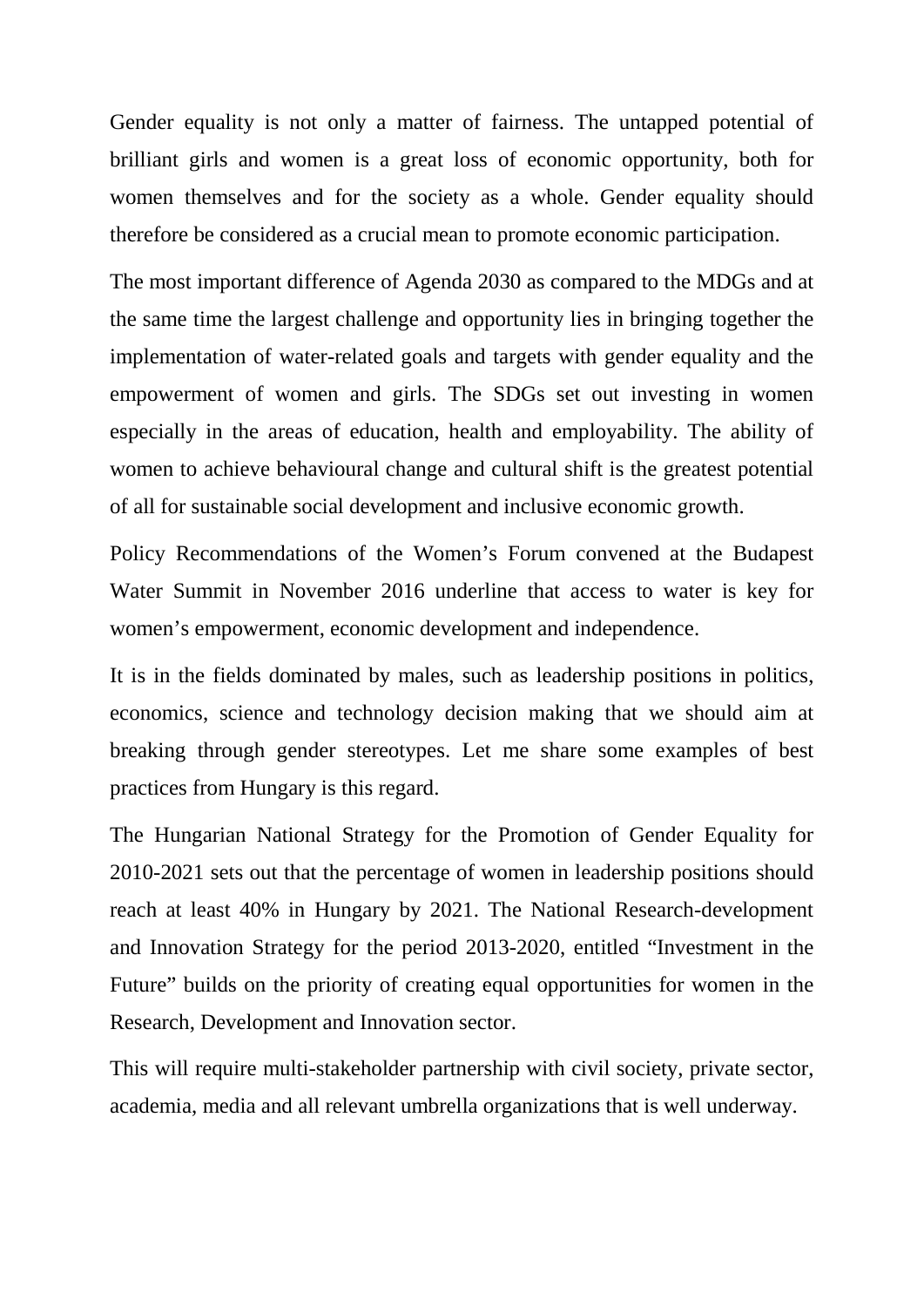Gender equality is not only a matter of fairness. The untapped potential of brilliant girls and women is a great loss of economic opportunity, both for women themselves and for the society as a whole. Gender equality should therefore be considered as a crucial mean to promote economic participation.

The most important difference of Agenda 2030 as compared to the MDGs and at the same time the largest challenge and opportunity lies in bringing together the implementation of water-related goals and targets with gender equality and the empowerment of women and girls. The SDGs set out investing in women especially in the areas of education, health and employability. The ability of women to achieve behavioural change and cultural shift is the greatest potential of all for sustainable social development and inclusive economic growth.

Policy Recommendations of the Women's Forum convened at the Budapest Water Summit in November 2016 underline that access to water is key for women's empowerment, economic development and independence.

It is in the fields dominated by males, such as leadership positions in politics, economics, science and technology decision making that we should aim at breaking through gender stereotypes. Let me share some examples of best practices from Hungary is this regard.

The Hungarian National Strategy for the Promotion of Gender Equality for 2010-2021 sets out that the percentage of women in leadership positions should reach at least 40% in Hungary by 2021. The National Research-development and Innovation Strategy for the period 2013-2020, entitled "Investment in the Future" builds on the priority of creating equal opportunities for women in the Research, Development and Innovation sector.

This will require multi-stakeholder partnership with civil society, private sector, academia, media and all relevant umbrella organizations that is well underway.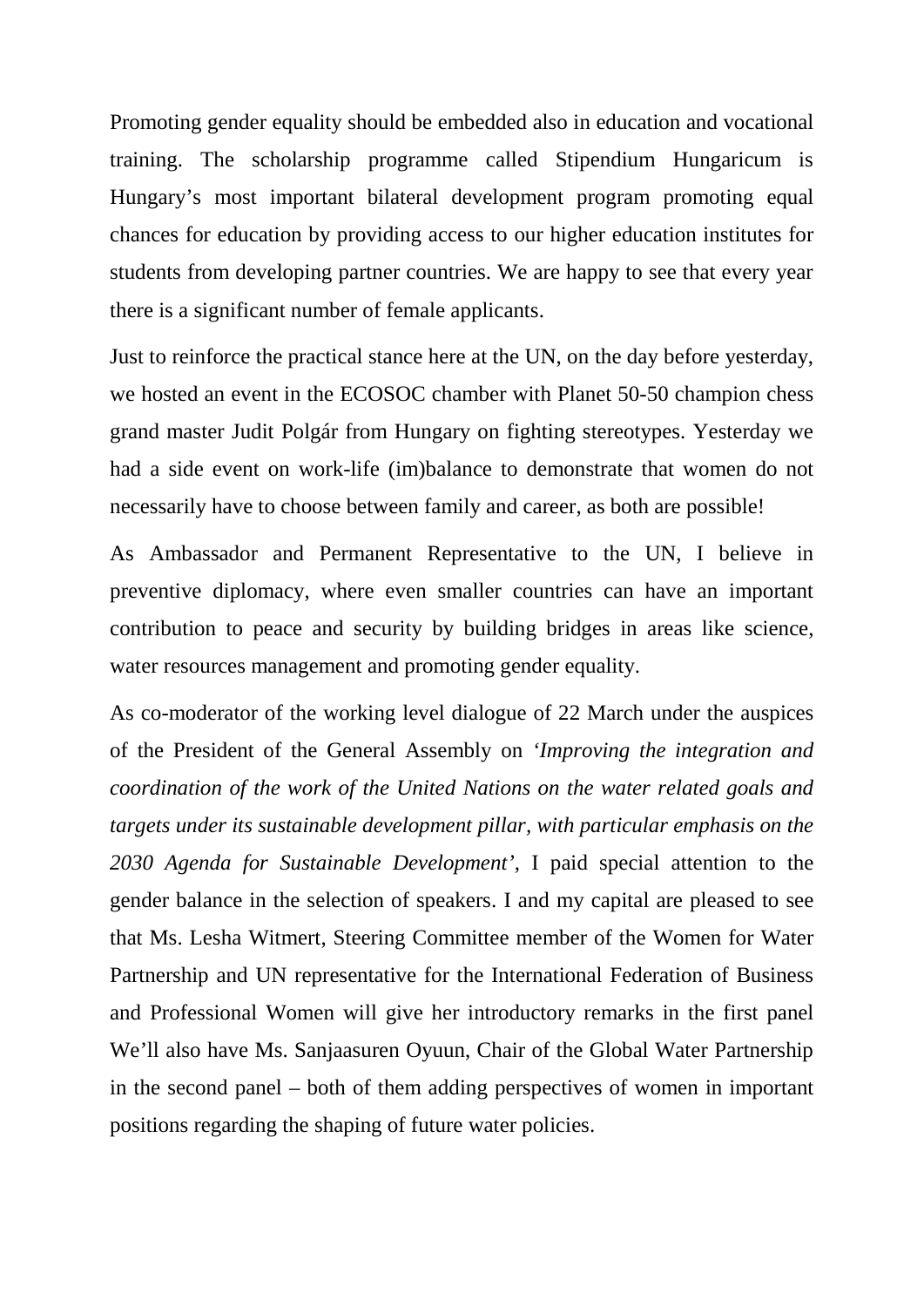Promoting gender equality should be embedded also in education and vocational training. The scholarship programme called Stipendium Hungaricum is Hungary's most important bilateral development program promoting equal chances for education by providing access to our higher education institutes for students from developing partner countries. We are happy to see that every year there is a significant number of female applicants.

Just to reinforce the practical stance here at the UN, on the day before yesterday, we hosted an event in the ECOSOC chamber with Planet 50-50 champion chess grand master Judit Polgár from Hungary on fighting stereotypes. Yesterday we had a side event on work-life (im)balance to demonstrate that women do not necessarily have to choose between family and career, as both are possible!

As Ambassador and Permanent Representative to the UN, I believe in preventive diplomacy, where even smaller countries can have an important contribution to peace and security by building bridges in areas like science, water resources management and promoting gender equality.

As co-moderator of the working level dialogue of 22 March under the auspices of the President of the General Assembly on *'Improving the integration and coordination of the work of the United Nations on the water related goals and targets under its sustainable development pillar, with particular emphasis on the 2030 Agenda for Sustainable Development'*, I paid special attention to the gender balance in the selection of speakers. I and my capital are pleased to see that Ms. Lesha Witmert, Steering Committee member of the Women for Water Partnership and UN representative for the International Federation of Business and Professional Women will give her introductory remarks in the first panel We'll also have Ms. Sanjaasuren Oyuun, Chair of the Global Water Partnership in the second panel – both of them adding perspectives of women in important positions regarding the shaping of future water policies.